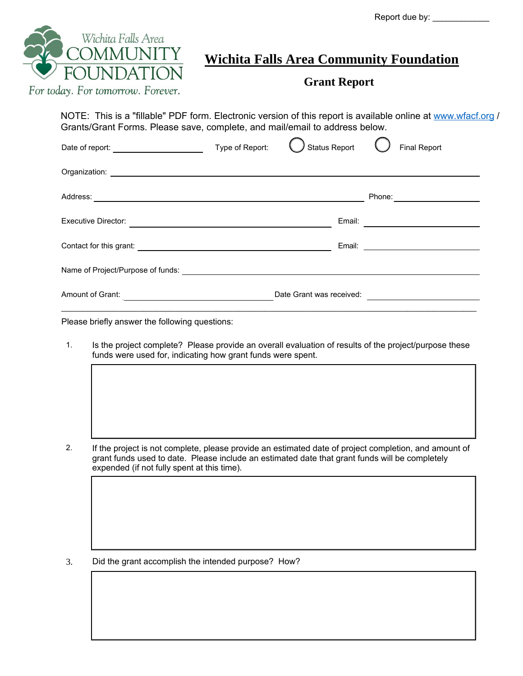Report due by: \_\_\_\_\_\_\_\_\_\_\_\_

| For today. For tomorrow. Forever. | <b>Wichita Falls Area Community Foundation</b><br><b>Grant Report</b>                                                                                                                                                                |
|-----------------------------------|--------------------------------------------------------------------------------------------------------------------------------------------------------------------------------------------------------------------------------------|
|                                   | NOTE: This is a "fillable" PDF form. Electronic version of this report is available online at www.wfacf.org /<br>Grants/Grant Forms. Please save, complete, and mail/email to address below.                                         |
|                                   | Status Report<br><b>Final Report</b>                                                                                                                                                                                                 |
|                                   |                                                                                                                                                                                                                                      |
|                                   | Phone: <u>with the state of the state of the state of the state of the state of the state of the state of the state of the state of the state of the state of the state of the state of the state of the state of the state of t</u> |
|                                   |                                                                                                                                                                                                                                      |
|                                   |                                                                                                                                                                                                                                      |
|                                   |                                                                                                                                                                                                                                      |
|                                   |                                                                                                                                                                                                                                      |

1. Is the project complete? Please provide an overall evaluation of results of the project/purpose these funds were used for, indicating how grant funds were spent.

2. If the project is not complete, please provide an estimated date of project completion, and amount of grant funds used to date. Please include an estimated date that grant funds will be completely expended (if not fully spent at this time).

3. Did the grant accomplish the intended purpose? How?